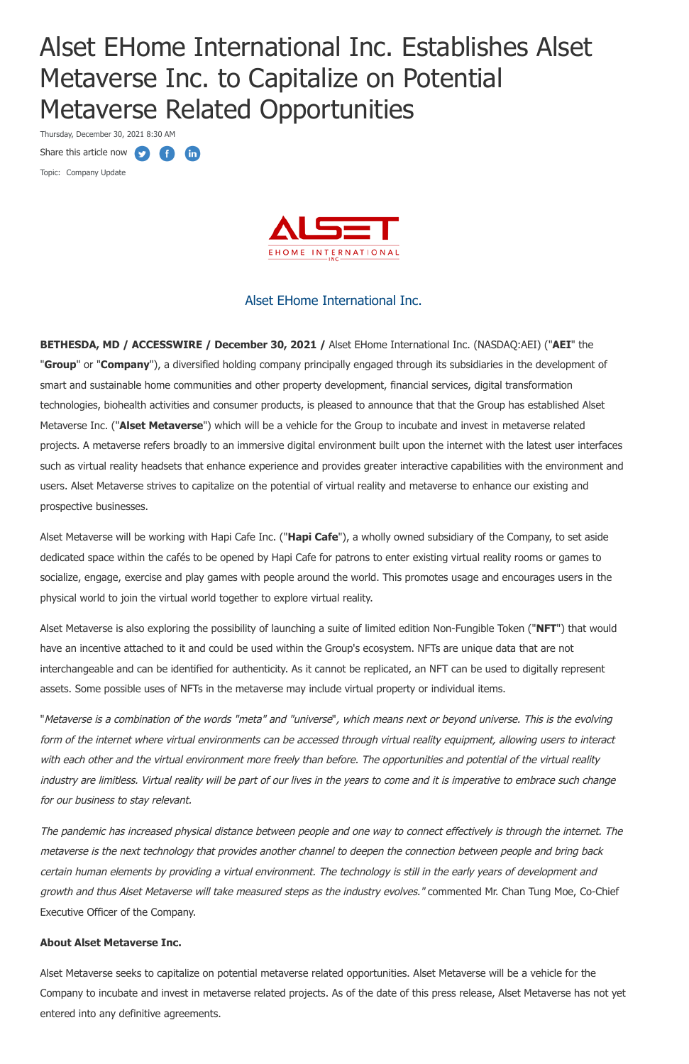# Alset EHome International Inc. Establishes Alset Metaverse Inc. to Capitalize on Potential Metaverse Related Opportunities

Thursday, December 30, 2021 8:30 AM

Share this article now  $\bullet$ G **fin** 

Topic: Company Update



# Alset EHome International Inc.

**BETHESDA, MD / ACCESSWIRE / December 30, 2021 /** Alset EHome International Inc. (NASDAQ:AEI) ("**AEI**" the "**Group**" or "**Company**"), a diversified holding company principally engaged through its subsidiaries in the development of smart and sustainable home communities and other property development, financial services, digital transformation technologies, biohealth activities and consumer products, is pleased to announce that that the Group has established Alset Metaverse Inc. ("**Alset Metaverse**") which will be a vehicle for the Group to incubate and invest in metaverse related projects. A metaverse refers broadly to an immersive digital environment built upon the internet with the latest user interfaces such as virtual reality headsets that enhance experience and provides greater interactive capabilities with the environment and users. Alset Metaverse strives to capitalize on the potential of virtual reality and metaverse to enhance our existing and prospective businesses.

Alset Metaverse will be working with Hapi Cafe Inc. ("**Hapi Cafe**"), a wholly owned subsidiary of the Company, to set aside dedicated space within the cafés to be opened by Hapi Cafe for patrons to enter existing virtual reality rooms or games to socialize, engage, exercise and play games with people around the world. This promotes usage and encourages users in the physical world to join the virtual world together to explore virtual reality.

Alset Metaverse is also exploring the possibility of launching a suite of limited edition Non-Fungible Token ("**NFT**") that would have an incentive attached to it and could be used within the Group's ecosystem. NFTs are unique data that are not interchangeable and can be identified for authenticity. As it cannot be replicated, an NFT can be used to digitally represent assets. Some possible uses of NFTs in the metaverse may include virtual property or individual items.

"Metaverse is a combination of the words "meta" and "universe", which means next or beyond universe. This is the evolving form of the internet where virtual environments can be accessed through virtual reality equipment, allowing users to interact with each other and the virtual environment more freely than before. The opportunities and potential of the virtual reality industry are limitless. Virtual reality will be part of our lives in the years to come and it is imperative to embrace such change

for our business to stay relevant.

The pandemic has increased physical distance between people and one way to connect effectively is through the internet. The metaverse is the next technology that provides another channel to deepen the connection between people and bring back certain human elements by providing a virtual environment. The technology is still in the early years of development and growth and thus Alset Metaverse will take measured steps as the industry evolves." commented Mr. Chan Tung Moe, Co-Chief Executive Officer of the Company.

#### **About Alset Metaverse Inc.**

Alset Metaverse seeks to capitalize on potential metaverse related opportunities. Alset Metaverse will be a vehicle for the Company to incubate and invest in metaverse related projects. As of the date of this press release, Alset Metaverse has not yet entered into any definitive agreements.